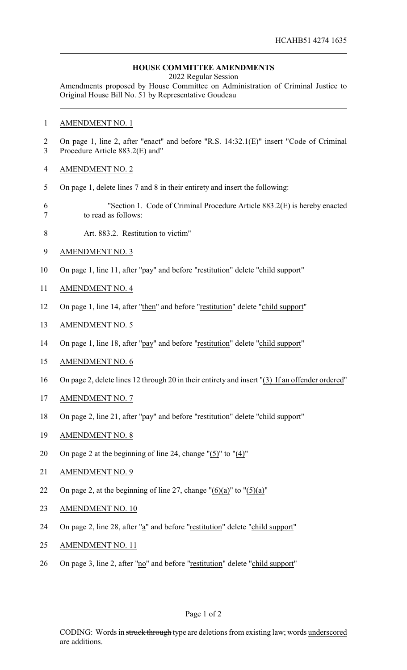## **HOUSE COMMITTEE AMENDMENTS**

2022 Regular Session

Amendments proposed by House Committee on Administration of Criminal Justice to Original House Bill No. 51 by Representative Goudeau

## AMENDMENT NO. 1

- On page 1, line 2, after "enact" and before "R.S. 14:32.1(E)" insert "Code of Criminal Procedure Article 883.2(E) and"
- AMENDMENT NO. 2
- On page 1, delete lines 7 and 8 in their entirety and insert the following:
- "Section 1. Code of Criminal Procedure Article 883.2(E) is hereby enacted to read as follows:
- Art. 883.2. Restitution to victim"
- AMENDMENT NO. 3
- On page 1, line 11, after "pay" and before "restitution" delete "child support"
- AMENDMENT NO. 4
- On page 1, line 14, after "then" and before "restitution" delete "child support"
- AMENDMENT NO. 5
- On page 1, line 18, after "pay" and before "restitution" delete "child support"
- AMENDMENT NO. 6
- On page 2, delete lines 12 through 20 in their entirety and insert "(3) If an offender ordered"
- AMENDMENT NO. 7
- 18 On page 2, line 21, after "pay" and before "restitution" delete "child support"
- AMENDMENT NO. 8
- On page 2 at the beginning of line 24, change "(5)" to "(4)"
- AMENDMENT NO. 9
- 22 On page 2, at the beginning of line 27, change  $"(6)(a)"$  to  $"(5)(a)"$
- 23 AMENDMENT NO. 10
- 24 On page 2, line 28, after "a" and before "restitution" delete "child support"
- AMENDMENT NO. 11
- 26 On page 3, line 2, after "no" and before "restitution" delete "child support"